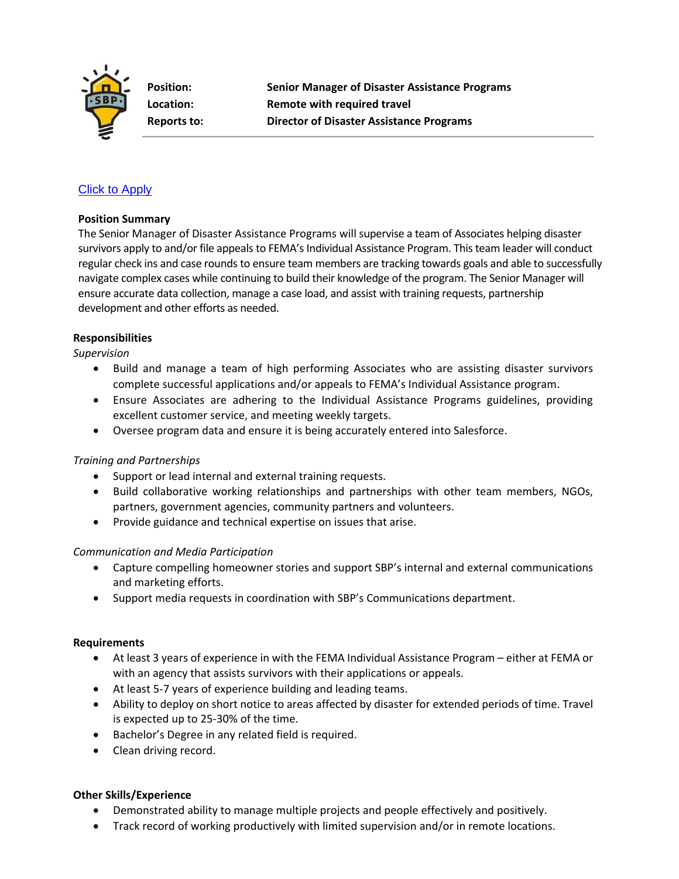

**Position: Senior Manager of Disaster Assistance Programs Location: Remote with required travel Reports to: Director of Disaster Assistance Programs**

# [Click to Apply](https://recruiting.paylocity.com/recruiting/jobs/Apply/1114961/SBP/Senior-Manager-of-Disaster-Assistance-Programs)

#### **Position Summary**

The Senior Manager of Disaster Assistance Programs will supervise a team of Associates helping disaster survivors apply to and/or file appeals to FEMA's Individual Assistance Program. This team leader will conduct regular check ins and case rounds to ensure team members are tracking towards goals and able to successfully navigate complex cases while continuing to build their knowledge of the program. The Senior Manager will ensure accurate data collection, manage a case load, and assist with training requests, partnership development and other efforts as needed.

### **Responsibilities**

*Supervision*

- Build and manage a team of high performing Associates who are assisting disaster survivors complete successful applications and/or appeals to FEMA's Individual Assistance program.
- Ensure Associates are adhering to the Individual Assistance Programs guidelines, providing excellent customer service, and meeting weekly targets.
- Oversee program data and ensure it is being accurately entered into Salesforce.

### *Training and Partnerships*

- Support or lead internal and external training requests.
- Build collaborative working relationships and partnerships with other team members, NGOs, partners, government agencies, community partners and volunteers.
- Provide guidance and technical expertise on issues that arise.

### *Communication and Media Participation*

- Capture compelling homeowner stories and support SBP's internal and external communications and marketing efforts.
- Support media requests in coordination with SBP's Communications department.

#### **Requirements**

- At least 3 years of experience in with the FEMA Individual Assistance Program either at FEMA or with an agency that assists survivors with their applications or appeals.
- At least 5-7 years of experience building and leading teams.
- Ability to deploy on short notice to areas affected by disaster for extended periods of time. Travel is expected up to 25-30% of the time.
- Bachelor's Degree in any related field is required.
- Clean driving record.

### **Other Skills/Experience**

- Demonstrated ability to manage multiple projects and people effectively and positively.
- Track record of working productively with limited supervision and/or in remote locations.